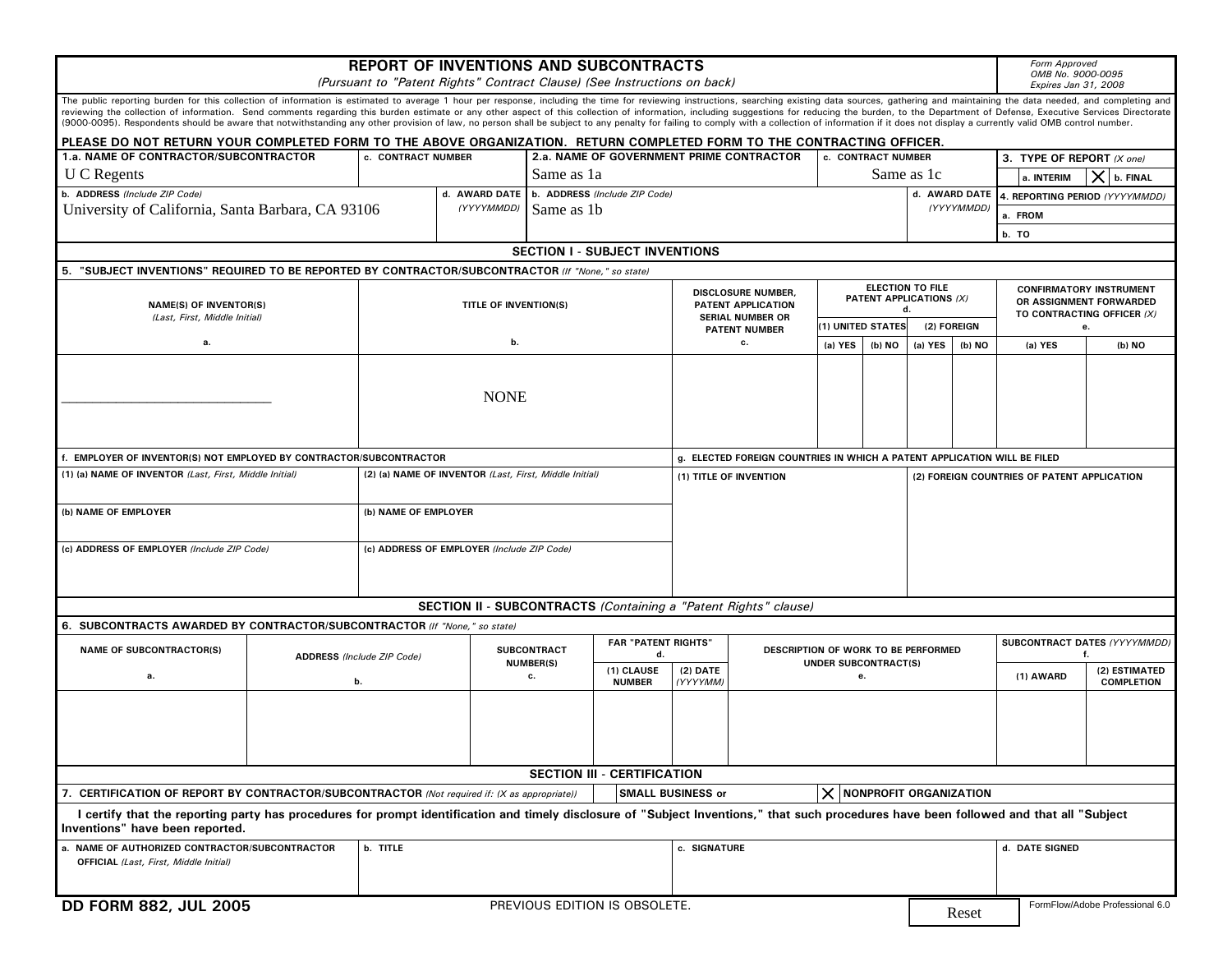|                                                                                                                                                                                                                                                                                                                                                                                                                                                                 | <b>REPORT OF INVENTIONS AND SUBCONTRACTS</b>                                                                                                                                                                                                                                        |                                            |                             |                            |                                    |                                                                          |                                 |                                                                    |                                        |                   |                                                           |                                           |                                              | <b>Form Approved</b> |              |  |  |
|-----------------------------------------------------------------------------------------------------------------------------------------------------------------------------------------------------------------------------------------------------------------------------------------------------------------------------------------------------------------------------------------------------------------------------------------------------------------|-------------------------------------------------------------------------------------------------------------------------------------------------------------------------------------------------------------------------------------------------------------------------------------|--------------------------------------------|-----------------------------|----------------------------|------------------------------------|--------------------------------------------------------------------------|---------------------------------|--------------------------------------------------------------------|----------------------------------------|-------------------|-----------------------------------------------------------|-------------------------------------------|----------------------------------------------|----------------------|--------------|--|--|
| (Pursuant to "Patent Rights" Contract Clause) (See Instructions on back)                                                                                                                                                                                                                                                                                                                                                                                        |                                                                                                                                                                                                                                                                                     |                                            |                             |                            |                                    |                                                                          |                                 |                                                                    |                                        |                   |                                                           | OMB No. 9000-0095<br>Expires Jan 31, 2008 |                                              |                      |              |  |  |
|                                                                                                                                                                                                                                                                                                                                                                                                                                                                 | The public reporting burden for this collection of information is estimated to average 1 hour per response, including the time for reviewing instructions, searching existing data sources, gathering and maintaining the data                                                      |                                            |                             |                            |                                    |                                                                          |                                 |                                                                    |                                        |                   |                                                           |                                           |                                              |                      |              |  |  |
| reviewing the collection of information. Send comments regarding this burden estimate or any other aspect of this collection of information, including suggestions for reducing the burden, to the Department of Defense, Exec<br>(9000-0095). Respondents should be aware that notwithstanding any other provision of law, no person shall be subject to any penalty for failing to comply with a collection of information if it does not display a currently |                                                                                                                                                                                                                                                                                     |                                            |                             |                            |                                    |                                                                          |                                 |                                                                    |                                        |                   |                                                           |                                           |                                              |                      |              |  |  |
|                                                                                                                                                                                                                                                                                                                                                                                                                                                                 | PLEASE DO NOT RETURN YOUR COMPLETED FORM TO THE ABOVE ORGANIZATION. RETURN COMPLETED FORM TO THE CONTRACTING OFFICER.<br>2.a. NAME OF GOVERNMENT PRIME CONTRACTOR<br>1.a. NAME OF CONTRACTOR/SUBCONTRACTOR<br>c. CONTRACT NUMBER<br>c. CONTRACT NUMBER<br>3. TYPE OF REPORT (X one) |                                            |                             |                            |                                    |                                                                          |                                 |                                                                    |                                        |                   |                                                           |                                           |                                              |                      |              |  |  |
|                                                                                                                                                                                                                                                                                                                                                                                                                                                                 |                                                                                                                                                                                                                                                                                     |                                            |                             |                            | Same as 1a                         |                                                                          |                                 |                                                                    |                                        |                   |                                                           |                                           |                                              |                      |              |  |  |
| <b>U</b> C Regents                                                                                                                                                                                                                                                                                                                                                                                                                                              |                                                                                                                                                                                                                                                                                     |                                            |                             |                            | b. ADDRESS (Include ZIP Code)      |                                                                          |                                 |                                                                    |                                        |                   | Same as 1c                                                |                                           | a. INTERIM                                   |                      | $X$ b. FINAL |  |  |
| b. ADDRESS (Include ZIP Code)<br>University of California, Santa Barbara, CA 93106                                                                                                                                                                                                                                                                                                                                                                              |                                                                                                                                                                                                                                                                                     |                                            | d. AWARD DATE<br>(YYYYMMDD) | Same as 1b                 |                                    |                                                                          |                                 |                                                                    |                                        |                   | (YYYYMMDD)                                                |                                           | d. AWARD DATE 4. REPORTING PERIOD (YYYYMMDD) |                      |              |  |  |
|                                                                                                                                                                                                                                                                                                                                                                                                                                                                 |                                                                                                                                                                                                                                                                                     |                                            |                             |                            |                                    |                                                                          |                                 |                                                                    |                                        |                   |                                                           |                                           | a. FROM                                      |                      |              |  |  |
|                                                                                                                                                                                                                                                                                                                                                                                                                                                                 |                                                                                                                                                                                                                                                                                     |                                            |                             |                            |                                    |                                                                          |                                 |                                                                    |                                        |                   | b. TO                                                     |                                           |                                              |                      |              |  |  |
| <b>SECTION I - SUBJECT INVENTIONS</b><br>5. "SUBJECT INVENTIONS" REQUIRED TO BE REPORTED BY CONTRACTOR/SUBCONTRACTOR (If "None," so state)                                                                                                                                                                                                                                                                                                                      |                                                                                                                                                                                                                                                                                     |                                            |                             |                            |                                    |                                                                          |                                 |                                                                    |                                        |                   |                                                           |                                           |                                              |                      |              |  |  |
|                                                                                                                                                                                                                                                                                                                                                                                                                                                                 | <b>ELECTION TO FILE</b>                                                                                                                                                                                                                                                             |                                            |                             |                            |                                    |                                                                          |                                 |                                                                    |                                        |                   |                                                           |                                           |                                              |                      |              |  |  |
| <b>NAME(S) OF INVENTOR(S)</b>                                                                                                                                                                                                                                                                                                                                                                                                                                   |                                                                                                                                                                                                                                                                                     |                                            |                             | TITLE OF INVENTION(S)      |                                    | DISCLOSURE NUMBER,<br>PATENT APPLICATION                                 |                                 |                                                                    | PATENT APPLICATIONS (X)                |                   | <b>CONFIRMATORY INSTRUMENT</b><br>OR ASSIGNMENT FORWARDED |                                           |                                              |                      |              |  |  |
| (Last, First, Middle Initial)<br>а.                                                                                                                                                                                                                                                                                                                                                                                                                             |                                                                                                                                                                                                                                                                                     |                                            |                             |                            |                                    |                                                                          | <b>SERIAL NUMBER OR</b>         |                                                                    |                                        | d.<br>(2) FOREIGN |                                                           | TO CONTRACTING OFFICER (X)                |                                              |                      |              |  |  |
|                                                                                                                                                                                                                                                                                                                                                                                                                                                                 |                                                                                                                                                                                                                                                                                     | b.                                         |                             |                            |                                    |                                                                          | <b>PATENT NUMBER</b><br>с.      |                                                                    | (1) UNITED STATES<br>(a) YES<br>(b) NO |                   |                                                           |                                           | е.<br>(a) YES                                |                      |              |  |  |
|                                                                                                                                                                                                                                                                                                                                                                                                                                                                 |                                                                                                                                                                                                                                                                                     |                                            |                             |                            |                                    |                                                                          |                                 |                                                                    |                                        | (a) YES           | (b) NO                                                    |                                           |                                              |                      | (b) NO       |  |  |
|                                                                                                                                                                                                                                                                                                                                                                                                                                                                 |                                                                                                                                                                                                                                                                                     |                                            |                             |                            |                                    |                                                                          |                                 |                                                                    |                                        |                   |                                                           |                                           |                                              |                      |              |  |  |
|                                                                                                                                                                                                                                                                                                                                                                                                                                                                 |                                                                                                                                                                                                                                                                                     |                                            | <b>NONE</b>                 |                            |                                    |                                                                          |                                 |                                                                    |                                        |                   |                                                           |                                           |                                              |                      |              |  |  |
|                                                                                                                                                                                                                                                                                                                                                                                                                                                                 |                                                                                                                                                                                                                                                                                     |                                            |                             |                            |                                    |                                                                          |                                 |                                                                    |                                        |                   |                                                           |                                           |                                              |                      |              |  |  |
|                                                                                                                                                                                                                                                                                                                                                                                                                                                                 |                                                                                                                                                                                                                                                                                     |                                            |                             |                            |                                    |                                                                          |                                 |                                                                    |                                        |                   |                                                           |                                           |                                              |                      |              |  |  |
| f. EMPLOYER OF INVENTOR(S) NOT EMPLOYED BY CONTRACTOR/SUBCONTRACTOR                                                                                                                                                                                                                                                                                                                                                                                             |                                                                                                                                                                                                                                                                                     |                                            |                             |                            |                                    | g. ELECTED FOREIGN COUNTRIES IN WHICH A PATENT APPLICATION WILL BE FILED |                                 |                                                                    |                                        |                   |                                                           |                                           |                                              |                      |              |  |  |
| (1) (a) NAME OF INVENTOR (Last, First, Middle Initial)                                                                                                                                                                                                                                                                                                                                                                                                          | (2) (a) NAME OF INVENTOR (Last, First, Middle Initial)                                                                                                                                                                                                                              |                                            |                             |                            | (1) TITLE OF INVENTION             |                                                                          |                                 |                                                                    |                                        |                   | (2) FOREIGN COUNTRIES OF PATENT APPLICATION               |                                           |                                              |                      |              |  |  |
|                                                                                                                                                                                                                                                                                                                                                                                                                                                                 |                                                                                                                                                                                                                                                                                     |                                            |                             |                            |                                    |                                                                          |                                 |                                                                    |                                        |                   |                                                           |                                           |                                              |                      |              |  |  |
| (b) NAME OF EMPLOYER                                                                                                                                                                                                                                                                                                                                                                                                                                            |                                                                                                                                                                                                                                                                                     | (b) NAME OF EMPLOYER                       |                             |                            |                                    |                                                                          |                                 |                                                                    |                                        |                   |                                                           |                                           |                                              |                      |              |  |  |
|                                                                                                                                                                                                                                                                                                                                                                                                                                                                 |                                                                                                                                                                                                                                                                                     |                                            |                             |                            |                                    |                                                                          |                                 |                                                                    |                                        |                   |                                                           |                                           |                                              |                      |              |  |  |
| (c) ADDRESS OF EMPLOYER (Include ZIP Code)                                                                                                                                                                                                                                                                                                                                                                                                                      |                                                                                                                                                                                                                                                                                     | (c) ADDRESS OF EMPLOYER (Include ZIP Code) |                             |                            |                                    |                                                                          |                                 |                                                                    |                                        |                   |                                                           |                                           |                                              |                      |              |  |  |
|                                                                                                                                                                                                                                                                                                                                                                                                                                                                 |                                                                                                                                                                                                                                                                                     |                                            |                             |                            |                                    |                                                                          |                                 |                                                                    |                                        |                   |                                                           |                                           |                                              |                      |              |  |  |
|                                                                                                                                                                                                                                                                                                                                                                                                                                                                 |                                                                                                                                                                                                                                                                                     |                                            |                             |                            |                                    |                                                                          |                                 |                                                                    |                                        |                   |                                                           |                                           |                                              |                      |              |  |  |
| SECTION II - SUBCONTRACTS (Containing a "Patent Rights" clause)                                                                                                                                                                                                                                                                                                                                                                                                 |                                                                                                                                                                                                                                                                                     |                                            |                             |                            |                                    |                                                                          |                                 |                                                                    |                                        |                   |                                                           |                                           |                                              |                      |              |  |  |
| 6. SUBCONTRACTS AWARDED BY CONTRACTOR/SUBCONTRACTOR (If "None," so state)                                                                                                                                                                                                                                                                                                                                                                                       |                                                                                                                                                                                                                                                                                     |                                            |                             |                            |                                    |                                                                          |                                 |                                                                    |                                        |                   |                                                           |                                           |                                              |                      |              |  |  |
| <b>NAME OF SUBCONTRACTOR(S)</b>                                                                                                                                                                                                                                                                                                                                                                                                                                 | <b>ADDRESS</b> (Include ZIP Code)<br>b.                                                                                                                                                                                                                                             |                                            | <b>SUBCONTRACT</b>          | <b>FAR "PATENT RIGHTS"</b> |                                    | $(2)$ DATE                                                               |                                 | DESCRIPTION OF WORK TO BE PERFORMED<br><b>UNDER SUBCONTRACT(S)</b> |                                        |                   | SUBCONTRACT DATES (YYYYMMDD)                              |                                           |                                              |                      |              |  |  |
| а.                                                                                                                                                                                                                                                                                                                                                                                                                                                              |                                                                                                                                                                                                                                                                                     |                                            | <b>NUMBER(S)</b>            | d.<br>(1) CLAUSE           |                                    |                                                                          |                                 |                                                                    |                                        |                   |                                                           |                                           | f.<br>(2) ESTIMATED                          |                      |              |  |  |
|                                                                                                                                                                                                                                                                                                                                                                                                                                                                 |                                                                                                                                                                                                                                                                                     |                                            | С.                          | <b>NUMBER</b>              | (YYYYMM)                           |                                                                          | е.                              |                                                                    |                                        |                   |                                                           | (1) AWARD                                 |                                              | <b>COMPLETION</b>    |              |  |  |
|                                                                                                                                                                                                                                                                                                                                                                                                                                                                 |                                                                                                                                                                                                                                                                                     |                                            |                             |                            |                                    |                                                                          |                                 |                                                                    |                                        |                   |                                                           |                                           |                                              |                      |              |  |  |
|                                                                                                                                                                                                                                                                                                                                                                                                                                                                 |                                                                                                                                                                                                                                                                                     |                                            |                             |                            |                                    |                                                                          |                                 |                                                                    |                                        |                   |                                                           |                                           |                                              |                      |              |  |  |
|                                                                                                                                                                                                                                                                                                                                                                                                                                                                 |                                                                                                                                                                                                                                                                                     |                                            |                             |                            |                                    |                                                                          |                                 |                                                                    |                                        |                   |                                                           |                                           |                                              |                      |              |  |  |
|                                                                                                                                                                                                                                                                                                                                                                                                                                                                 |                                                                                                                                                                                                                                                                                     |                                            |                             |                            |                                    |                                                                          |                                 |                                                                    |                                        |                   |                                                           |                                           |                                              |                      |              |  |  |
|                                                                                                                                                                                                                                                                                                                                                                                                                                                                 |                                                                                                                                                                                                                                                                                     |                                            |                             |                            | <b>SECTION III - CERTIFICATION</b> |                                                                          |                                 |                                                                    |                                        |                   |                                                           |                                           |                                              |                      |              |  |  |
| $\times$ NONPROFIT ORGANIZATION<br><b>SMALL BUSINESS or</b><br>7. CERTIFICATION OF REPORT BY CONTRACTOR/SUBCONTRACTOR (Not required if: (X as appropriate))                                                                                                                                                                                                                                                                                                     |                                                                                                                                                                                                                                                                                     |                                            |                             |                            |                                    |                                                                          |                                 |                                                                    |                                        |                   |                                                           |                                           |                                              |                      |              |  |  |
| I certify that the reporting party has procedures for prompt identification and timely disclosure of "Subject Inventions," that such procedures have been followed and that all "Subject<br>Inventions" have been reported.                                                                                                                                                                                                                                     |                                                                                                                                                                                                                                                                                     |                                            |                             |                            |                                    |                                                                          |                                 |                                                                    |                                        |                   |                                                           |                                           |                                              |                      |              |  |  |
| a. NAME OF AUTHORIZED CONTRACTOR/SUBCONTRACTOR<br><b>OFFICIAL</b> (Last, First, Middle Initial)                                                                                                                                                                                                                                                                                                                                                                 |                                                                                                                                                                                                                                                                                     | b. TITLE                                   |                             |                            |                                    |                                                                          | c. SIGNATURE                    |                                                                    |                                        |                   |                                                           |                                           | d. DATE SIGNED                               |                      |              |  |  |
|                                                                                                                                                                                                                                                                                                                                                                                                                                                                 |                                                                                                                                                                                                                                                                                     |                                            |                             |                            |                                    |                                                                          |                                 |                                                                    |                                        |                   |                                                           |                                           |                                              |                      |              |  |  |
|                                                                                                                                                                                                                                                                                                                                                                                                                                                                 |                                                                                                                                                                                                                                                                                     |                                            |                             |                            |                                    |                                                                          |                                 |                                                                    |                                        |                   |                                                           |                                           |                                              |                      |              |  |  |
| <b>DD FORM 882, JUL 2005</b>                                                                                                                                                                                                                                                                                                                                                                                                                                    | PREVIOUS EDITION IS OBSOLETE.                                                                                                                                                                                                                                                       |                                            |                             |                            |                                    | Reset                                                                    | FormFlow/Adobe Professional 6.0 |                                                                    |                                        |                   |                                                           |                                           |                                              |                      |              |  |  |